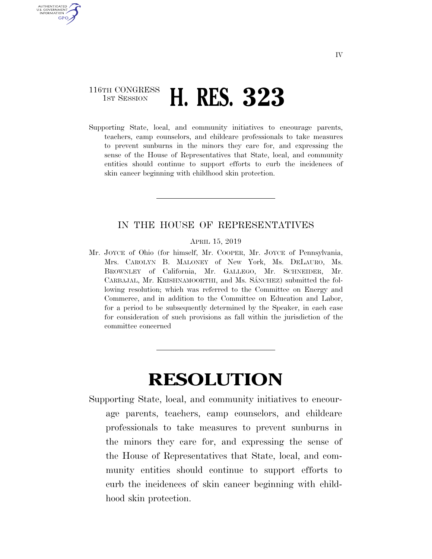## 116TH CONGRESS **1ST SESSION <b>H. RES. 323**

U.S. GOVERNMENT<br>INFORMATION GPO

> Supporting State, local, and community initiatives to encourage parents, teachers, camp counselors, and childcare professionals to take measures to prevent sunburns in the minors they care for, and expressing the sense of the House of Representatives that State, local, and community entities should continue to support efforts to curb the incidences of skin cancer beginning with childhood skin protection.

## IN THE HOUSE OF REPRESENTATIVES

APRIL 15, 2019

Mr. JOYCE of Ohio (for himself, Mr. COOPER, Mr. JOYCE of Pennsylvania, Mrs. CAROLYN B. MALONEY of New York, Ms. DELAURO, Ms. BROWNLEY of California, Mr. GALLEGO, Mr. SCHNEIDER, Mr. CARBAJAL, Mr. KRISHNAMOORTHI, and Ms. SÁNCHEZ) submitted the following resolution; which was referred to the Committee on Energy and Commerce, and in addition to the Committee on Education and Labor, for a period to be subsequently determined by the Speaker, in each case for consideration of such provisions as fall within the jurisdiction of the committee concerned

## **RESOLUTION**

Supporting State, local, and community initiatives to encourage parents, teachers, camp counselors, and childcare professionals to take measures to prevent sunburns in the minors they care for, and expressing the sense of the House of Representatives that State, local, and community entities should continue to support efforts to curb the incidences of skin cancer beginning with childhood skin protection.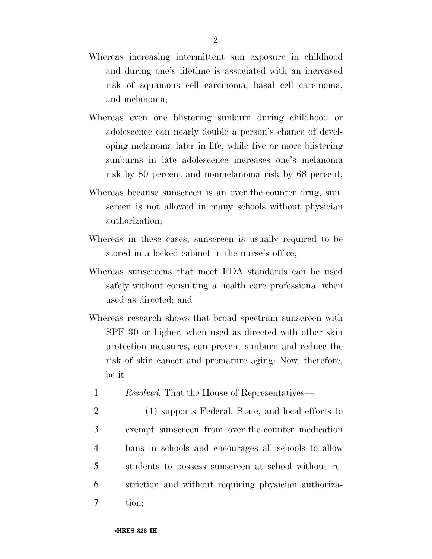- Whereas increasing intermittent sun exposure in childhood and during one's lifetime is associated with an increased risk of squamous cell carcinoma, basal cell carcinoma, and melanoma;
- Whereas even one blistering sunburn during childhood or adolescence can nearly double a person's chance of developing melanoma later in life, while five or more blistering sunburns in late adolescence increases one's melanoma risk by 80 percent and nonmelanoma risk by 68 percent;
- Whereas because sunscreen is an over-the-counter drug, sunscreen is not allowed in many schools without physician authorization;
- Whereas in these cases, sunscreen is usually required to be stored in a locked cabinet in the nurse's office;
- Whereas sunscreens that meet FDA standards can be used safely without consulting a health care professional when used as directed; and
- Whereas research shows that broad spectrum sunscreen with SPF 30 or higher, when used as directed with other skin protection measures, can prevent sunburn and reduce the risk of skin cancer and premature aging: Now, therefore, be it
	- 1 *Resolved,* That the House of Representatives—
- 2 (1) supports Federal, State, and local efforts to 3 exempt sunscreen from over-the-counter medication 4 bans in schools and encourages all schools to allow 5 students to possess sunscreen at school without re-6 striction and without requiring physician authoriza-7 tion;